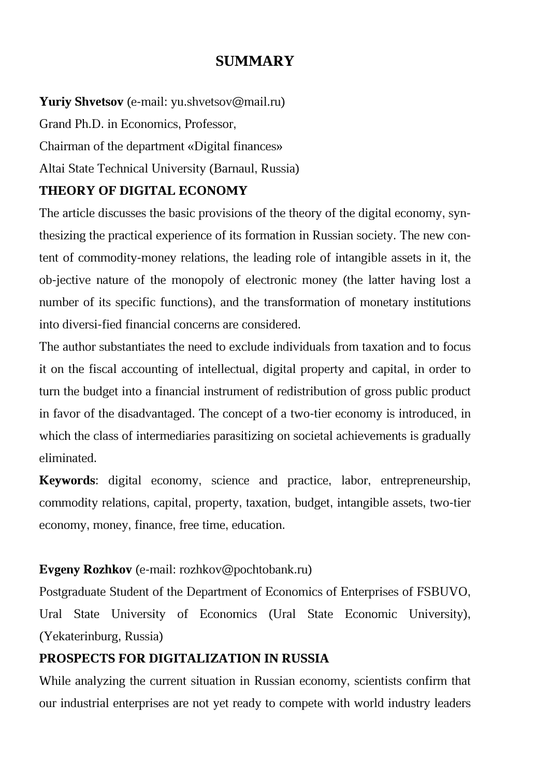## **SUMMARY**

**Yuriy Shvetsov** (е-mail: yu.shvetsov@mail.ru) Grand Ph.D. in Economics, Professor, Chairman of the department «Digital finances» Altai State Technical University (Barnaul, Russia)

### **THEORY OF DIGITAL ECONOMY**

The article discusses the basic provisions of the theory of the digital economy, synthesizing the practical experience of its formation in Russian society. The new content of commodity-money relations, the leading role of intangible assets in it, the ob-jective nature of the monopoly of electronic money (the latter having lost a number of its specific functions), and the transformation of monetary institutions into diversi-fied financial concerns are considered.

The author substantiates the need to exclude individuals from taxation and to focus it on the fiscal accounting of intellectual, digital property and capital, in order to turn the budget into a financial instrument of redistribution of gross public product in favor of the disadvantaged. The concept of a two-tier economy is introduced, in which the class of intermediaries parasitizing on societal achievements is gradually eliminated.

**Keywords**: digital economy, science and practice, labor, entrepreneurship, commodity relations, capital, property, taxation, budget, intangible assets, two-tier economy, money, finance, free time, education.

## **Evgeny Rozhkov** (е-mail: rozhkov@pochtobank.ru)

Postgraduate Student of the Department of Economics of Enterprises of FSBUVO, Ural State University of Economics (Ural State Economic University), (Yekaterinburg, Russia)

## **PROSPECTS FOR DIGITALIZATION IN RUSSIA**

While analyzing the current situation in Russian economy, scientists confirm that our industrial enterprises are not yet ready to compete with world industry leaders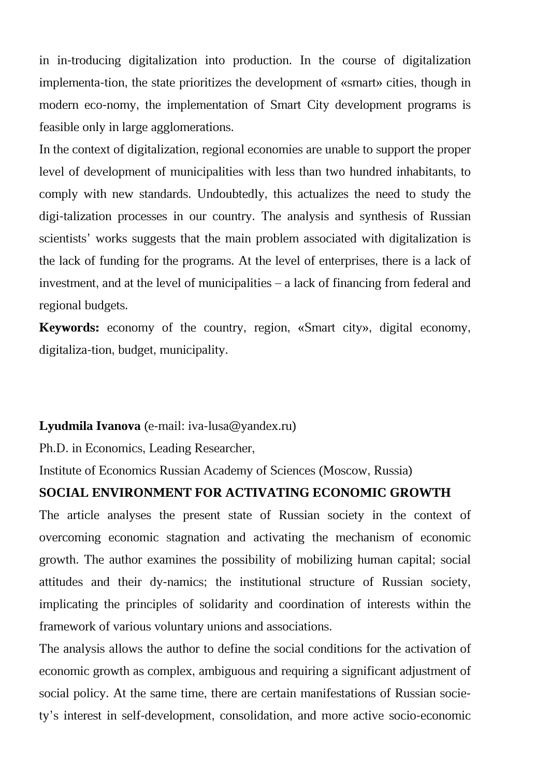in in-troducing digitalization into production. In the course of digitalization implementa-tion, the state prioritizes the development of «smart» cities, though in modern eco-nomy, the implementation of Smart City development programs is feasible only in large agglomerations.

In the context of digitalization, regional economies are unable to support the proper level of development of municipalities with less than two hundred inhabitants, to comply with new standards. Undoubtedly, this actualizes the need to study the digi-talization processes in our country. The analysis and synthesis of Russian scientists' works suggests that the main problem associated with digitalization is the lack of funding for the programs. At the level of enterprises, there is a lack of investment, and at the level of municipalities – a lack of financing from federal and regional budgets.

**Keywords:** economy of the country, region, «Smart city», digital economy, digitaliza-tion, budget, municipality.

#### **Lyudmila Ivanova** (e-mail: iva-lusa@yandex.ru)

Ph.D. in Economics, Leading Researcher,

Institute of Economics Russian Academy of Sciences (Moscow, Russia)

#### **SOCIAL ENVIRONMENT FOR ACTIVATING ECONOMIC GROWTH**

The article analyses the present state of Russian society in the context of overcoming economic stagnation and activating the mechanism of economic growth. The author examines the possibility of mobilizing human capital; social attitudes and their dy-namics; the institutional structure of Russian society, implicating the principles of solidarity and coordination of interests within the framework of various voluntary unions and associations.

The analysis allows the author to define the social conditions for the activation of economic growth as complex, ambiguous and requiring a significant adjustment of social policy. At the same time, there are certain manifestations of Russian society's interest in self-development, consolidation, and more active socio-economic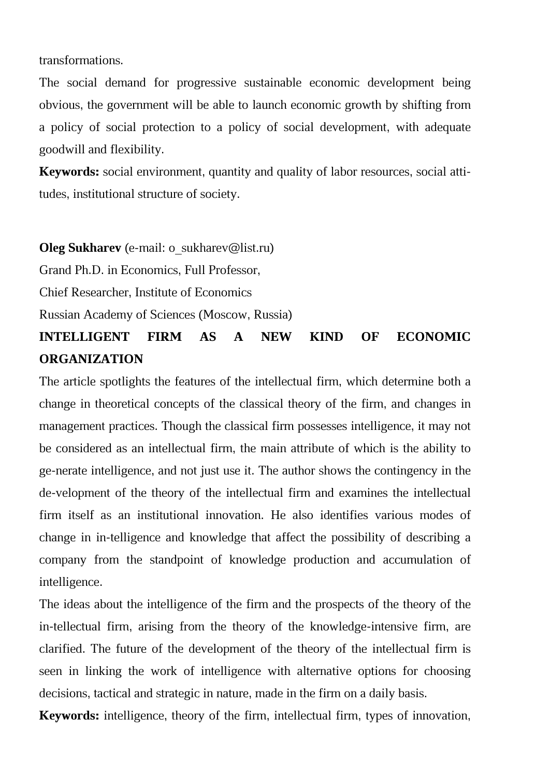transformations.

The social demand for progressive sustainable economic development being obvious, the government will be able to launch economic growth by shifting from a policy of social protection to a policy of social development, with adequate goodwill and flexibility.

**Keywords:** social environment, quantity and quality of labor resources, social attitudes, institutional structure of society.

#### **Oleg Sukharev** (e-mail: o\_sukharev@list.ru)

Grand Ph.D. in Economics, Full Professor,

Chief Researcher, Institute of Economics

Russian Academy of Sciences (Moscow, Russia)

## **INTELLIGENT FIRM AS A NEW KIND OF ECONOMIC ORGANIZATION**

The article spotlights the features of the intellectual firm, which determine both a change in theoretical concepts of the classical theory of the firm, and changes in management practices. Though the classical firm possesses intelligence, it may not be considered as an intellectual firm, the main attribute of which is the ability to ge-nerate intelligence, and not just use it. The author shows the contingency in the de-velopment of the theory of the intellectual firm and examines the intellectual firm itself as an institutional innovation. He also identifies various modes of change in in-telligence and knowledge that affect the possibility of describing a company from the standpoint of knowledge production and accumulation of intelligence.

The ideas about the intelligence of the firm and the prospects of the theory of the in-tellectual firm, arising from the theory of the knowledge-intensive firm, are clarified. The future of the development of the theory of the intellectual firm is seen in linking the work of intelligence with alternative options for choosing decisions, tactical and strategic in nature, made in the firm on a daily basis.

**Keywords:** intelligence, theory of the firm, intellectual firm, types of innovation,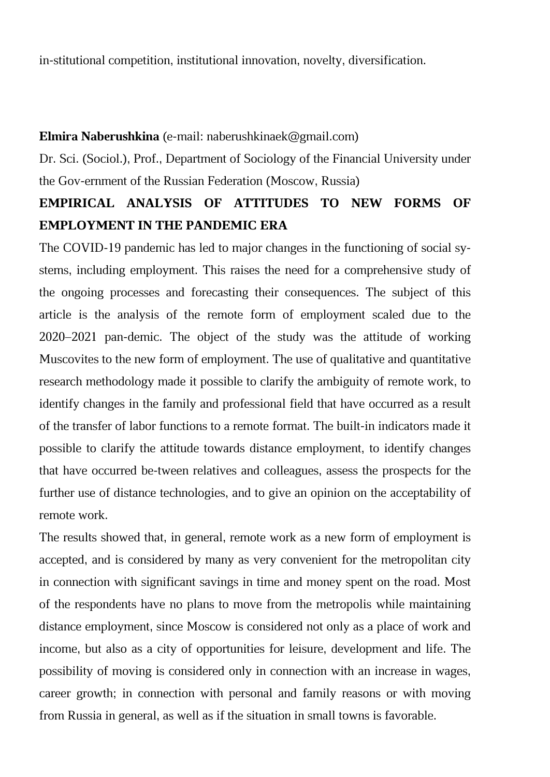in-stitutional competition, institutional innovation, novelty, diversification.

#### **Elmira Naberushkina** (e-mail: naberushkinaek@gmail.com)

Dr. Sci. (Sociol.), Prof., Department of Sociology of the Financial University under the Gov-ernment of the Russian Federation (Moscow, Russia)

## **EMPIRICAL ANALYSIS OF ATTITUDES TO NEW FORMS OF EMPLOYMENT IN THE PANDEMIC ERA**

The COVID-19 pandemic has led to major changes in the functioning of social systems, including employment. This raises the need for a comprehensive study of the ongoing processes and forecasting their consequences. The subject of this article is the analysis of the remote form of employment scaled due to the 2020–2021 pan-demic. The object of the study was the attitude of working Muscovites to the new form of employment. The use of qualitative and quantitative research methodology made it possible to clarify the ambiguity of remote work, to identify changes in the family and professional field that have occurred as a result of the transfer of labor functions to a remote format. The built-in indicators made it possible to clarify the attitude towards distance employment, to identify changes that have occurred be-tween relatives and colleagues, assess the prospects for the further use of distance technologies, and to give an opinion on the acceptability of remote work.

The results showed that, in general, remote work as a new form of employment is accepted, and is considered by many as very convenient for the metropolitan city in connection with significant savings in time and money spent on the road. Most of the respondents have no plans to move from the metropolis while maintaining distance employment, since Moscow is considered not only as a place of work and income, but also as a city of opportunities for leisure, development and life. The possibility of moving is considered only in connection with an increase in wages, career growth; in connection with personal and family reasons or with moving from Russia in general, as well as if the situation in small towns is favorable.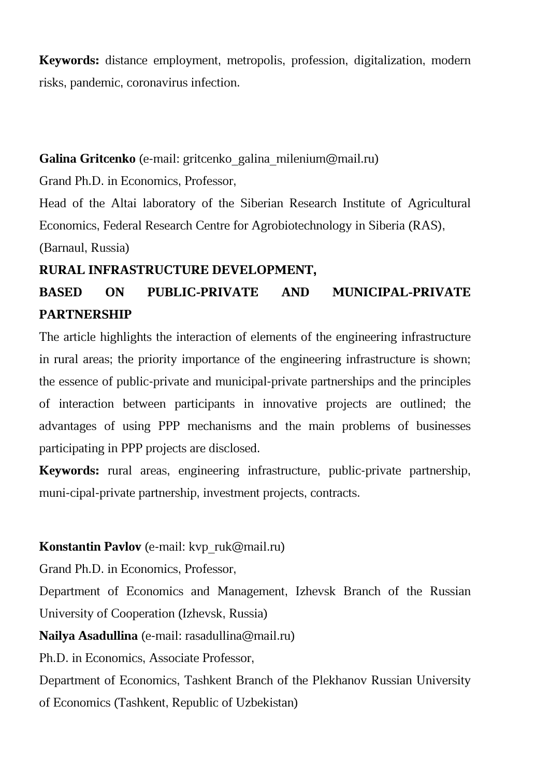**Keywords:** distance employment, metropolis, profession, digitalization, modern risks, pandemic, coronavirus infection.

## **Galina Gritcenko** (e-mail: gritcenko\_galina\_milenium@mail.ru)

Grand Ph.D. in Economics, Professor,

Head of the Altai laboratory of the Siberian Research Institute of Agricultural Economics, Federal Research Centre for Agrobiotechnology in Siberia (RAS),

(Barnaul, Russia)

## **RURAL INFRASTRUCTURE DEVELOPMENT,**

# **BASED ON PUBLIC-PRIVATE AND MUNICIPAL-PRIVATE PARTNERSHIP**

The article highlights the interaction of elements of the engineering infrastructure in rural areas; the priority importance of the engineering infrastructure is shown; the essence of public-private and municipal-private partnerships and the principles of interaction between participants in innovative projects are outlined; the advantages of using PPP mechanisms and the main problems of businesses participating in PPP projects are disclosed.

**Keywords:** rural areas, engineering infrastructure, public-private partnership, muni-cipal-private partnership, investment projects, contracts.

## **Konstantin Pavlov** (e-mail: kvp\_ruk@mail.ru)

Grand Ph.D. in Economics, Professor,

Department of Economics and Management, Izhevsk Branch of the Russian University of Cooperation (Izhevsk, Russia)

**Nailya Asadullina** (e-mail: rasadullina@mail.ru)

Ph.D. in Economics, Associate Professor,

Department of Economics, Tashkent Branch of the Plekhanov Russian University of Economics (Tashkent, Republic of Uzbekistan)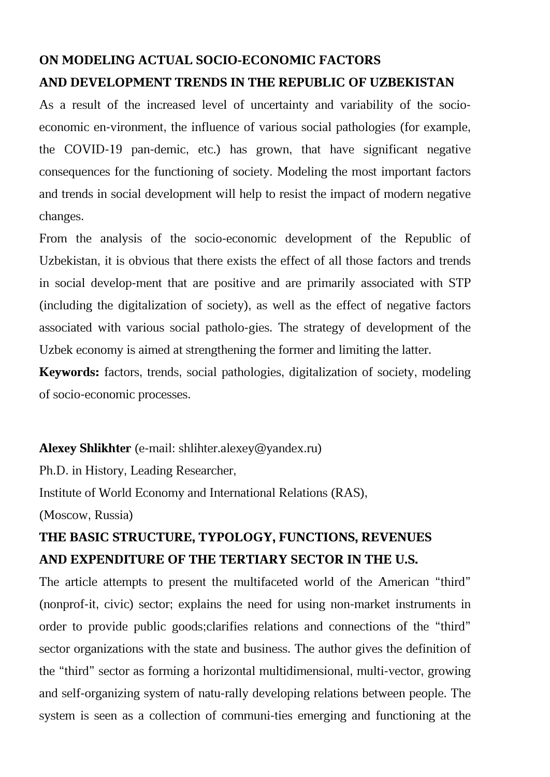## **ON MODELING ACTUAL SOCIO-ECONOMIC FACTORS AND DEVELOPMENT TRENDS IN THE REPUBLIC OF UZBEKISTAN**

As a result of the increased level of uncertainty and variability of the socioeconomic en-vironment, the influence of various social pathologies (for example, the COVID-19 pan-demic, etc.) has grown, that have significant negative consequences for the functioning of society. Modeling the most important factors and trends in social development will help to resist the impact of modern negative changes.

From the analysis of the socio-economic development of the Republic of Uzbekistan, it is obvious that there exists the effect of all those factors and trends in social develop-ment that are positive and are primarily associated with STP (including the digitalization of society), as well as the effect of negative factors associated with various social patholo-gies. The strategy of development of the Uzbek economy is aimed at strengthening the former and limiting the latter.

**Keywords:** factors, trends, social pathologies, digitalization of society, modeling of socio-economic processes.

#### **Alexey Shlikhter** (e-mail: shlihter.alexey@yandex.ru)

Ph.D. in History, Leading Researcher,

Institute of World Economy and International Relations (RAS),

(Moscow, Russia)

## **THE BASIC STRUCTURE, TYPOLOGY, FUNCTIONS, REVENUES AND EXPENDITURE OF THE TERTIARY SECTOR IN THE U.S.**

The article attempts to present the multifaceted world of the American "third" (nonprof-it, civic) sector; explains the need for using non-market instruments in order to provide public goods;clarifies relations and connections of the "third" sector organizations with the state and business. The author gives the definition of the "third" sector as forming a horizontal multidimensional, multi-vector, growing and self-organizing system of natu-rally developing relations between people. The system is seen as a collection of communi-ties emerging and functioning at the